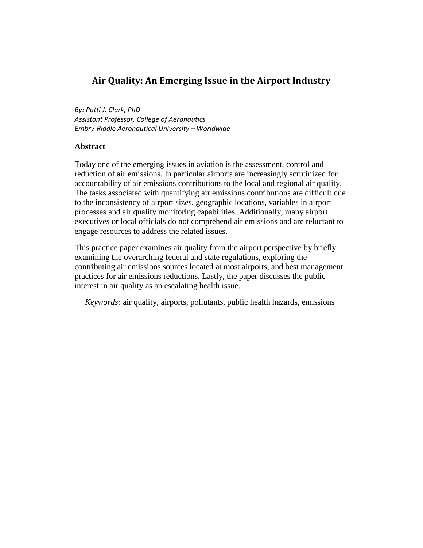# **Air Quality: An Emerging Issue in the Airport Industry**

*By: Patti J. Clark, PhD Assistant Professor, College of Aeronautics Embry-Riddle Aeronautical University – Worldwide*

# **Abstract**

Today one of the emerging issues in aviation is the assessment, control and reduction of air emissions. In particular airports are increasingly scrutinized for accountability of air emissions contributions to the local and regional air quality. The tasks associated with quantifying air emissions contributions are difficult due to the inconsistency of airport sizes, geographic locations, variables in airport processes and air quality monitoring capabilities. Additionally, many airport executives or local officials do not comprehend air emissions and are reluctant to engage resources to address the related issues.

This practice paper examines air quality from the airport perspective by briefly examining the overarching federal and state regulations, exploring the contributing air emissions sources located at most airports, and best management practices for air emissions reductions. Lastly, the paper discusses the public interest in air quality as an escalating health issue.

 *Keywords:* air quality, airports, pollutants, public health hazards, emissions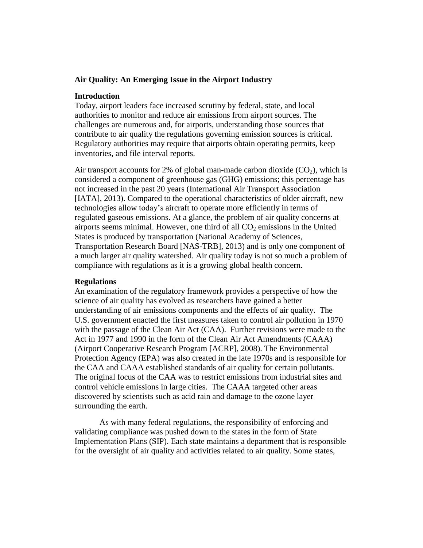# **Air Quality: An Emerging Issue in the Airport Industry**

## **Introduction**

Today, airport leaders face increased scrutiny by federal, state, and local authorities to monitor and reduce air emissions from airport sources. The challenges are numerous and, for airports, understanding those sources that contribute to air quality the regulations governing emission sources is critical. Regulatory authorities may require that airports obtain operating permits, keep inventories, and file interval reports.

Air transport accounts for 2% of global man-made carbon dioxide  $(CO<sub>2</sub>)$ , which is considered a component of greenhouse gas (GHG) emissions; this percentage has not increased in the past 20 years (International Air Transport Association [IATA], 2013). Compared to the operational characteristics of older aircraft, new technologies allow today's aircraft to operate more efficiently in terms of regulated gaseous emissions. At a glance, the problem of air quality concerns at airports seems minimal. However, one third of all  $CO<sub>2</sub>$  emissions in the United States is produced by transportation (National Academy of Sciences, Transportation Research Board [NAS-TRB], 2013) and is only one component of a much larger air quality watershed. Air quality today is not so much a problem of compliance with regulations as it is a growing global health concern.

## **Regulations**

An examination of the regulatory framework provides a perspective of how the science of air quality has evolved as researchers have gained a better understanding of air emissions components and the effects of air quality. The U.S. government enacted the first measures taken to control air pollution in 1970 with the passage of the Clean Air Act (CAA). Further revisions were made to the Act in 1977 and 1990 in the form of the Clean Air Act Amendments (CAAA) (Airport Cooperative Research Program [ACRP], 2008). The Environmental Protection Agency (EPA) was also created in the late 1970s and is responsible for the CAA and CAAA established standards of air quality for certain pollutants. The original focus of the CAA was to restrict emissions from industrial sites and control vehicle emissions in large cities. The CAAA targeted other areas discovered by scientists such as acid rain and damage to the ozone layer surrounding the earth.

As with many federal regulations, the responsibility of enforcing and validating compliance was pushed down to the states in the form of State Implementation Plans (SIP). Each state maintains a department that is responsible for the oversight of air quality and activities related to air quality. Some states,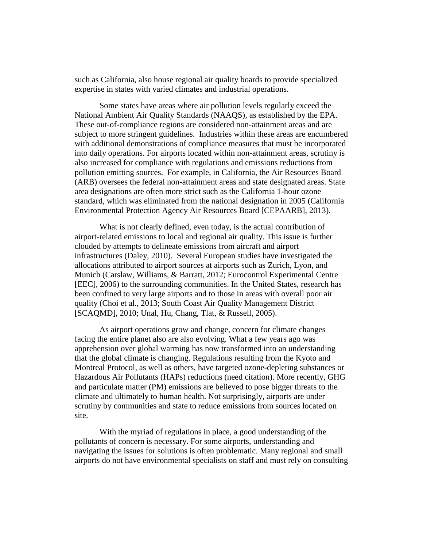such as California, also house regional air quality boards to provide specialized expertise in states with varied climates and industrial operations.

Some states have areas where air pollution levels regularly exceed the National Ambient Air Quality Standards (NAAQS), as established by the EPA. These out-of-compliance regions are considered non-attainment areas and are subject to more stringent guidelines. Industries within these areas are encumbered with additional demonstrations of compliance measures that must be incorporated into daily operations. For airports located within non-attainment areas, scrutiny is also increased for compliance with regulations and emissions reductions from pollution emitting sources. For example, in California, the Air Resources Board (ARB) oversees the federal non-attainment areas and state designated areas. State area designations are often more strict such as the California 1-hour ozone standard, which was eliminated from the national designation in 2005 (California Environmental Protection Agency Air Resources Board [CEPAARB], 2013).

What is not clearly defined, even today, is the actual contribution of airport-related emissions to local and regional air quality. This issue is further clouded by attempts to delineate emissions from aircraft and airport infrastructures (Daley, 2010). Several European studies have investigated the allocations attributed to airport sources at airports such as Zurich, Lyon, and Munich (Carslaw, Williams, & Barratt, 2012; Eurocontrol Experimental Centre [EEC], 2006) to the surrounding communities. In the United States, research has been confined to very large airports and to those in areas with overall poor air quality (Choi et al., 2013; South Coast Air Quality Management District [SCAQMD], 2010; Unal, Hu, Chang, Tlat, & Russell, 2005).

As airport operations grow and change, concern for climate changes facing the entire planet also are also evolving. What a few years ago was apprehension over global warming has now transformed into an understanding that the global climate is changing. Regulations resulting from the Kyoto and Montreal Protocol, as well as others, have targeted ozone-depleting substances or Hazardous Air Pollutants (HAPs) reductions (need citation). More recently, GHG and particulate matter (PM) emissions are believed to pose bigger threats to the climate and ultimately to human health. Not surprisingly, airports are under scrutiny by communities and state to reduce emissions from sources located on site.

With the myriad of regulations in place, a good understanding of the pollutants of concern is necessary. For some airports, understanding and navigating the issues for solutions is often problematic. Many regional and small airports do not have environmental specialists on staff and must rely on consulting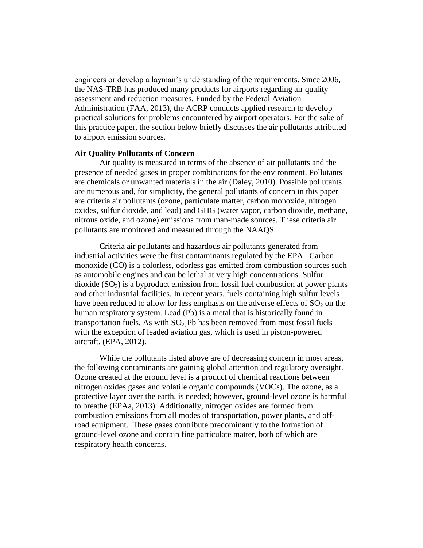engineers or develop a layman's understanding of the requirements. Since 2006, the NAS-TRB has produced many products for airports regarding air quality assessment and reduction measures. Funded by the Federal Aviation Administration (FAA, 2013), the ACRP conducts applied research to develop practical solutions for problems encountered by airport operators. For the sake of this practice paper, the section below briefly discusses the air pollutants attributed to airport emission sources.

#### **Air Quality Pollutants of Concern**

Air quality is measured in terms of the absence of air pollutants and the presence of needed gases in proper combinations for the environment. Pollutants are chemicals or unwanted materials in the air (Daley, 2010). Possible pollutants are numerous and, for simplicity, the general pollutants of concern in this paper are criteria air pollutants (ozone, particulate matter, carbon monoxide, nitrogen oxides, sulfur dioxide, and lead) and GHG (water vapor, carbon dioxide, methane, nitrous oxide, and ozone) emissions from man-made sources. These criteria air pollutants are monitored and measured through the NAAQS

Criteria air pollutants and hazardous air pollutants generated from industrial activities were the first contaminants regulated by the EPA. Carbon monoxide (CO) is a colorless, odorless gas emitted from combustion sources such as automobile engines and can be lethal at very high concentrations. Sulfur dioxide  $(SO<sub>2</sub>)$  is a byproduct emission from fossil fuel combustion at power plants and other industrial facilities. In recent years, fuels containing high sulfur levels have been reduced to allow for less emphasis on the adverse effects of  $SO_2$  on the human respiratory system. Lead (Pb) is a metal that is historically found in transportation fuels. As with  $SO_2$  Pb has been removed from most fossil fuels with the exception of leaded aviation gas, which is used in piston-powered aircraft. (EPA, 2012).

While the pollutants listed above are of decreasing concern in most areas, the following contaminants are gaining global attention and regulatory oversight. Ozone created at the ground level is a product of chemical reactions between nitrogen oxides gases and volatile organic compounds (VOCs). The ozone, as a protective layer over the earth, is needed; however, ground-level ozone is harmful to breathe (EPAa, 2013). Additionally, nitrogen oxides are formed from combustion emissions from all modes of transportation, power plants, and offroad equipment. These gases contribute predominantly to the formation of ground-level ozone and contain fine particulate matter, both of which are respiratory health concerns.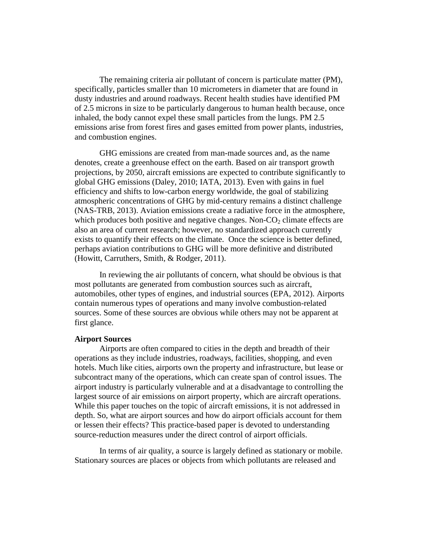The remaining criteria air pollutant of concern is particulate matter (PM), specifically, particles smaller than 10 micrometers in diameter that are found in dusty industries and around roadways. Recent health studies have identified PM of 2.5 microns in size to be particularly dangerous to human health because, once inhaled, the body cannot expel these small particles from the lungs. PM 2.5 emissions arise from forest fires and gases emitted from power plants, industries, and combustion engines.

GHG emissions are created from man-made sources and, as the name denotes, create a greenhouse effect on the earth. Based on air transport growth projections, by 2050, aircraft emissions are expected to contribute significantly to global GHG emissions (Daley, 2010; IATA, 2013). Even with gains in fuel efficiency and shifts to low-carbon energy worldwide, the goal of stabilizing atmospheric concentrations of GHG by mid-century remains a distinct challenge (NAS-TRB, 2013). Aviation emissions create a radiative force in the atmosphere, which produces both positive and negative changes. Non- $CO<sub>2</sub>$  climate effects are also an area of current research; however, no standardized approach currently exists to quantify their effects on the climate. Once the science is better defined, perhaps aviation contributions to GHG will be more definitive and distributed (Howitt, Carruthers, Smith, & Rodger, 2011).

In reviewing the air pollutants of concern, what should be obvious is that most pollutants are generated from combustion sources such as aircraft, automobiles, other types of engines, and industrial sources (EPA, 2012). Airports contain numerous types of operations and many involve combustion-related sources. Some of these sources are obvious while others may not be apparent at first glance.

#### **Airport Sources**

Airports are often compared to cities in the depth and breadth of their operations as they include industries, roadways, facilities, shopping, and even hotels. Much like cities, airports own the property and infrastructure, but lease or subcontract many of the operations, which can create span of control issues. The airport industry is particularly vulnerable and at a disadvantage to controlling the largest source of air emissions on airport property, which are aircraft operations. While this paper touches on the topic of aircraft emissions, it is not addressed in depth. So, what are airport sources and how do airport officials account for them or lessen their effects? This practice-based paper is devoted to understanding source-reduction measures under the direct control of airport officials.

In terms of air quality, a source is largely defined as stationary or mobile. Stationary sources are places or objects from which pollutants are released and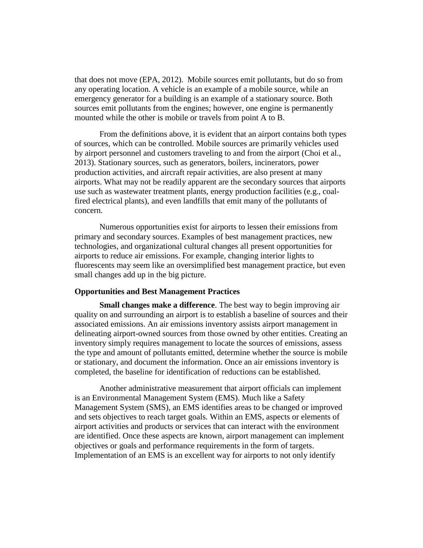that does not move (EPA, 2012). Mobile sources emit pollutants, but do so from any operating location. A vehicle is an example of a mobile source, while an emergency generator for a building is an example of a stationary source. Both sources emit pollutants from the engines; however, one engine is permanently mounted while the other is mobile or travels from point A to B.

From the definitions above, it is evident that an airport contains both types of sources, which can be controlled. Mobile sources are primarily vehicles used by airport personnel and customers traveling to and from the airport (Choi et al., 2013). Stationary sources, such as generators, boilers, incinerators, power production activities, and aircraft repair activities, are also present at many airports. What may not be readily apparent are the secondary sources that airports use such as wastewater treatment plants, energy production facilities (e.g., coalfired electrical plants), and even landfills that emit many of the pollutants of concern.

Numerous opportunities exist for airports to lessen their emissions from primary and secondary sources. Examples of best management practices, new technologies, and organizational cultural changes all present opportunities for airports to reduce air emissions. For example, changing interior lights to fluorescents may seem like an oversimplified best management practice, but even small changes add up in the big picture.

## **Opportunities and Best Management Practices**

**Small changes make a difference**. The best way to begin improving air quality on and surrounding an airport is to establish a baseline of sources and their associated emissions. An air emissions inventory assists airport management in delineating airport-owned sources from those owned by other entities. Creating an inventory simply requires management to locate the sources of emissions, assess the type and amount of pollutants emitted, determine whether the source is mobile or stationary, and document the information. Once an air emissions inventory is completed, the baseline for identification of reductions can be established.

Another administrative measurement that airport officials can implement is an Environmental Management System (EMS). Much like a Safety Management System (SMS), an EMS identifies areas to be changed or improved and sets objectives to reach target goals. Within an EMS, aspects or elements of airport activities and products or services that can interact with the environment are identified. Once these aspects are known, airport management can implement objectives or goals and performance requirements in the form of targets. Implementation of an EMS is an excellent way for airports to not only identify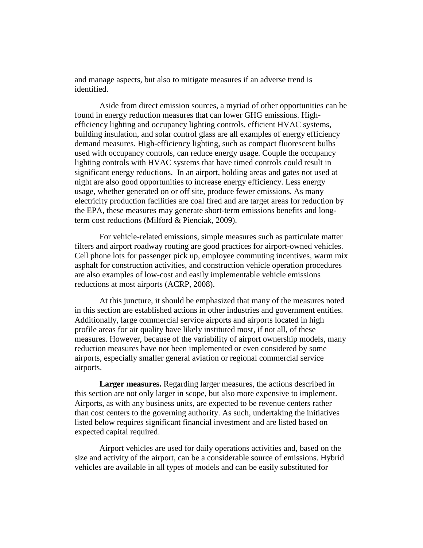and manage aspects, but also to mitigate measures if an adverse trend is identified.

Aside from direct emission sources, a myriad of other opportunities can be found in energy reduction measures that can lower GHG emissions. Highefficiency lighting and occupancy lighting controls, efficient HVAC systems, building insulation, and solar control glass are all examples of energy efficiency demand measures. High-efficiency lighting, such as compact fluorescent bulbs used with occupancy controls, can reduce energy usage. Couple the occupancy lighting controls with HVAC systems that have timed controls could result in significant energy reductions. In an airport, holding areas and gates not used at night are also good opportunities to increase energy efficiency. Less energy usage, whether generated on or off site, produce fewer emissions. As many electricity production facilities are coal fired and are target areas for reduction by the EPA, these measures may generate short-term emissions benefits and longterm cost reductions (Milford & Pienciak, 2009).

For vehicle-related emissions, simple measures such as particulate matter filters and airport roadway routing are good practices for airport-owned vehicles. Cell phone lots for passenger pick up, employee commuting incentives, warm mix asphalt for construction activities, and construction vehicle operation procedures are also examples of low-cost and easily implementable vehicle emissions reductions at most airports (ACRP, 2008).

At this juncture, it should be emphasized that many of the measures noted in this section are established actions in other industries and government entities. Additionally, large commercial service airports and airports located in high profile areas for air quality have likely instituted most, if not all, of these measures. However, because of the variability of airport ownership models, many reduction measures have not been implemented or even considered by some airports, especially smaller general aviation or regional commercial service airports.

**Larger measures.** Regarding larger measures, the actions described in this section are not only larger in scope, but also more expensive to implement. Airports, as with any business units, are expected to be revenue centers rather than cost centers to the governing authority. As such, undertaking the initiatives listed below requires significant financial investment and are listed based on expected capital required.

Airport vehicles are used for daily operations activities and, based on the size and activity of the airport, can be a considerable source of emissions. Hybrid vehicles are available in all types of models and can be easily substituted for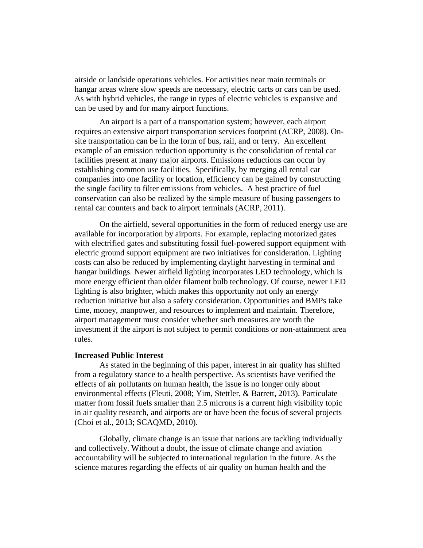airside or landside operations vehicles. For activities near main terminals or hangar areas where slow speeds are necessary, electric carts or cars can be used. As with hybrid vehicles, the range in types of electric vehicles is expansive and can be used by and for many airport functions.

An airport is a part of a transportation system; however, each airport requires an extensive airport transportation services footprint (ACRP, 2008). Onsite transportation can be in the form of bus, rail, and or ferry. An excellent example of an emission reduction opportunity is the consolidation of rental car facilities present at many major airports. Emissions reductions can occur by establishing common use facilities. Specifically, by merging all rental car companies into one facility or location, efficiency can be gained by constructing the single facility to filter emissions from vehicles. A best practice of fuel conservation can also be realized by the simple measure of busing passengers to rental car counters and back to airport terminals (ACRP, 2011).

On the airfield, several opportunities in the form of reduced energy use are available for incorporation by airports. For example, replacing motorized gates with electrified gates and substituting fossil fuel-powered support equipment with electric ground support equipment are two initiatives for consideration. Lighting costs can also be reduced by implementing daylight harvesting in terminal and hangar buildings. Newer airfield lighting incorporates LED technology, which is more energy efficient than older filament bulb technology. Of course, newer LED lighting is also brighter, which makes this opportunity not only an energy reduction initiative but also a safety consideration. Opportunities and BMPs take time, money, manpower, and resources to implement and maintain. Therefore, airport management must consider whether such measures are worth the investment if the airport is not subject to permit conditions or non-attainment area rules.

## **Increased Public Interest**

As stated in the beginning of this paper, interest in air quality has shifted from a regulatory stance to a health perspective. As scientists have verified the effects of air pollutants on human health, the issue is no longer only about environmental effects (Fleuti, 2008; Yim, Stettler, & Barrett, 2013). Particulate matter from fossil fuels smaller than 2.5 microns is a current high visibility topic in air quality research, and airports are or have been the focus of several projects (Choi et al., 2013; SCAQMD, 2010).

Globally, climate change is an issue that nations are tackling individually and collectively. Without a doubt, the issue of climate change and aviation accountability will be subjected to international regulation in the future. As the science matures regarding the effects of air quality on human health and the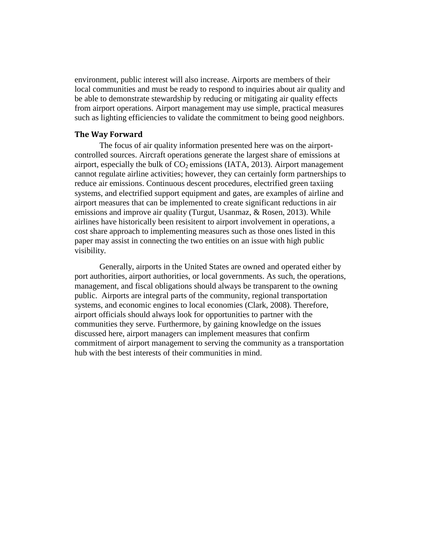environment, public interest will also increase. Airports are members of their local communities and must be ready to respond to inquiries about air quality and be able to demonstrate stewardship by reducing or mitigating air quality effects from airport operations. Airport management may use simple, practical measures such as lighting efficiencies to validate the commitment to being good neighbors.

# **The Way Forward**

The focus of air quality information presented here was on the airportcontrolled sources. Aircraft operations generate the largest share of emissions at airport, especially the bulk of  $CO<sub>2</sub>$  emissions (IATA, 2013). Airport management cannot regulate airline activities; however, they can certainly form partnerships to reduce air emissions. Continuous descent procedures, electrified green taxiing systems, and electrified support equipment and gates, are examples of airline and airport measures that can be implemented to create significant reductions in air emissions and improve air quality (Turgut, Usanmaz, & Rosen, 2013). While airlines have historically been resisitent to airport involvement in operations, a cost share approach to implementing measures such as those ones listed in this paper may assist in connecting the two entities on an issue with high public visibility.

Generally, airports in the United States are owned and operated either by port authorities, airport authorities, or local governments. As such, the operations, management, and fiscal obligations should always be transparent to the owning public. Airports are integral parts of the community, regional transportation systems, and economic engines to local economies (Clark, 2008). Therefore, airport officials should always look for opportunities to partner with the communities they serve. Furthermore, by gaining knowledge on the issues discussed here, airport managers can implement measures that confirm commitment of airport management to serving the community as a transportation hub with the best interests of their communities in mind.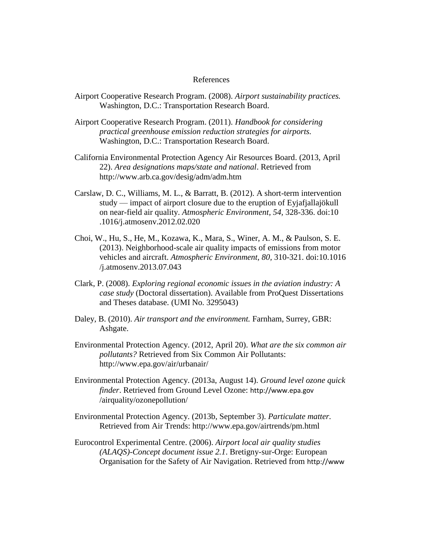## References

- Airport Cooperative Research Program. (2008). *Airport sustainability practices.*  Washington, D.C.: Transportation Research Board.
- Airport Cooperative Research Program. (2011). *Handbook for considering practical greenhouse emission reduction strategies for airports.*  Washington, D.C.: Transportation Research Board.
- California Environmental Protection Agency Air Resources Board. (2013, April 22). *Area designations maps/state and national*. Retrieved from http://www.arb.ca.gov/desig/adm/adm.htm
- Carslaw, D. C., Williams, M. L., & Barratt, B. (2012). A short-term intervention study — impact of airport closure due to the eruption of Eyjafjallajökull on near-field air quality. *Atmospheric Environment, 54,* 328-336. doi:10 .1016/j.atmosenv.2012.02.020
- Choi, W., Hu, S., He, M., Kozawa, K., Mara, S., Winer, A. M., & Paulson, S. E. (2013). Neighborhood-scale air quality impacts of emissions from motor vehicles and aircraft. *Atmospheric Environment, 80,* 310-321. doi:10.1016 /j.atmosenv.2013.07.043
- Clark, P. (2008). *Exploring regional economic issues in the aviation industry: A case study* (Doctoral dissertation). Available from ProQuest Dissertations and Theses database. (UMI No. 3295043)
- Daley, B. (2010). *Air transport and the environment.* Farnham, Surrey, GBR: Ashgate.
- Environmental Protection Agency. (2012, April 20). *What are the six common air pollutants?* Retrieved from Six Common Air Pollutants: http://www.epa.gov/air/urbanair/
- Environmental Protection Agency. (2013a, August 14). *Ground level ozone quick finder*. Retrieved from Ground Level Ozone: http://www.epa.gov /airquality/ozonepollution/
- Environmental Protection Agency. (2013b, September 3). *Particulate matter.*  Retrieved from Air Trends: http://www.epa.gov/airtrends/pm.html
- Eurocontrol Experimental Centre. (2006). *Airport local air quality studies (ALAQS)-Concept document issue 2.1*. Bretigny-sur-Orge: European Organisation for the Safety of Air Navigation. Retrieved from http://www